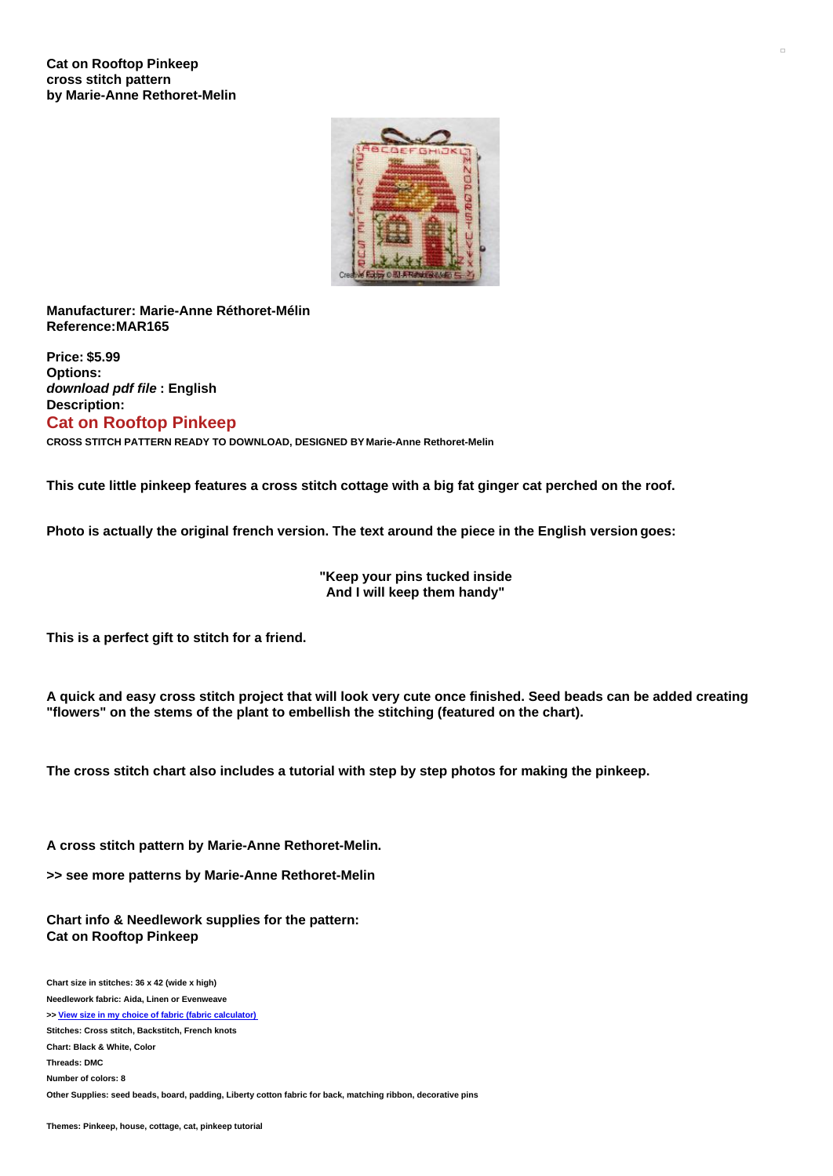## **Cat on Rooftop Pinkeep cross stitch pattern by Marie-Anne Rethoret-Melin**



**Manufacturer: Marie-Anne Réthoret-Mélin Reference:MAR165**

**Price: \$5.99 Options:** *download pdf file* **: English Description: Cat on Rooftop Pinkeep**

**CROSS STITCH PATTERN READY TO DOWNLOAD, DESIGNED BY Marie-Anne Rethoret-Melin**

This cute little pinkeep features a cross stitch cottage with a big fat ginger cat perched on the roof.

**Photo is actually the original french version. The text around the piece in the English version goes:**

**"Keep your pins tucked inside And I will keep them handy"**

**This is a perfect gift to stitch for a friend.**

A quick and easy cross stitch project that will look very cute once finished. Seed beads can be added creating **"flowers" on the stems of the plant to embellish the stitching (featured on the chart).**

**The cross stitch chart also includes a tutorial with step by step photos for making the pinkeep.**

**A cross stitch pattern by Marie-Anne Rethoret-Melin.**

**>> see more patterns by Marie-Anne Rethoret-Melin**

**Chart info & Needlework supplies for the pattern: Cat on Rooftop Pinkeep**

**Chart size in stitches: 36 x 42 (wide x high) Needlework fabric: Aida, Linen or Evenweave >> View size in my choice of fabric (fabric [calculator\)](https://www.creativepoppypatterns.com/calculette-de-toile.php?products_id=2876&w=36&h=42) Stitches: Cross stitch, Backstitch, French knots Chart: Black & White, Color Threads: DMC Number of colors: 8 Other Supplies: seed beads, board, padding, Liberty cotton fabric for back, matching ribbon, decorative pins**